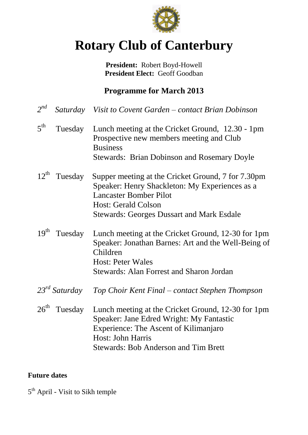

# **Rotary Club of Canterbury**

**President:** Robert Boyd-Howell **President Elect:** Geoff Goodban

### **Programme for March 2013**

| $2^{nd}$         |                    | Saturday Visit to Covent Garden – contact Brian Dobinson                                                                                                                                                                |
|------------------|--------------------|-------------------------------------------------------------------------------------------------------------------------------------------------------------------------------------------------------------------------|
| 5 <sup>th</sup>  | Tuesday            | Lunch meeting at the Cricket Ground, 12.30 - 1pm<br>Prospective new members meeting and Club<br><b>Business</b><br><b>Stewards: Brian Dobinson and Rosemary Doyle</b>                                                   |
| $12^{\text{th}}$ | Tuesday            | Supper meeting at the Cricket Ground, 7 for 7.30pm<br>Speaker: Henry Shackleton: My Experiences as a<br><b>Lancaster Bomber Pilot</b><br><b>Host: Gerald Colson</b><br><b>Stewards: Georges Dussart and Mark Esdale</b> |
| $19^{th}$        | Tuesday            | Lunch meeting at the Cricket Ground, 12-30 for 1pm<br>Speaker: Jonathan Barnes: Art and the Well-Being of<br>Children<br><b>Host: Peter Wales</b><br><b>Stewards: Alan Forrest and Sharon Jordan</b>                    |
|                  | $23^{rd}$ Saturday | Top Choir Kent Final – contact Stephen Thompson                                                                                                                                                                         |
| $26^{\text{th}}$ | Tuesday            | Lunch meeting at the Cricket Ground, 12-30 for 1pm<br>Speaker: Jane Edred Wright: My Fantastic<br><b>Experience: The Ascent of Kilimanjaro</b><br>Host: John Harris<br><b>Stewards: Bob Anderson and Tim Brett</b>      |

#### **Future dates**

5<sup>th</sup> April - Visit to Sikh temple